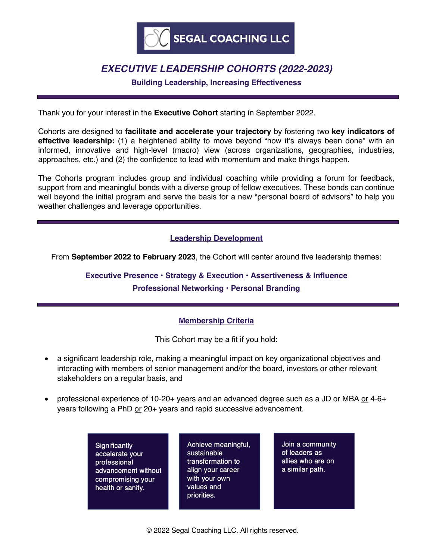

# *EXECUTIVE LEADERSHIP COHORTS (2022-2023)*

**Building Leadership, Increasing Effectiveness**

Thank you for your interest in the **Executive Cohort** starting in September 2022.

Cohorts are designed to **facilitate and accelerate your trajectory** by fostering two **key indicators of effective leadership:** (1) a heightened ability to move beyond "how it's always been done" with an informed, innovative and high-level (macro) view (across organizations, geographies, industries, approaches, etc.) and (2) the confidence to lead with momentum and make things happen.

The Cohorts program includes group and individual coaching while providing a forum for feedback, support from and meaningful bonds with a diverse group of fellow executives. These bonds can continue well beyond the initial program and serve the basis for a new "personal board of advisors" to help you weather challenges and leverage opportunities.

## **Leadership Development**

From **September 2022 to February 2023**, the Cohort will center around five leadership themes:

**Executive Presence • Strategy & Execution • Assertiveness & Influence Professional Networking • Personal Branding**

#### **Membership Criteria**

This Cohort may be a fit if you hold:

- a significant leadership role, making a meaningful impact on key organizational objectives and interacting with members of senior management and/or the board, investors or other relevant stakeholders on a regular basis, and
- professional experience of 10-20+ years and an advanced degree such as a JD or MBA or 4-6+ years following a PhD or 20+ years and rapid successive advancement.
	- Significantly accelerate your professional advancement without compromising your health or sanity.

Achieve meaningful, sustainable transformation to align your career with your own values and priorities.

Join a community of leaders as allies who are on a similar path.